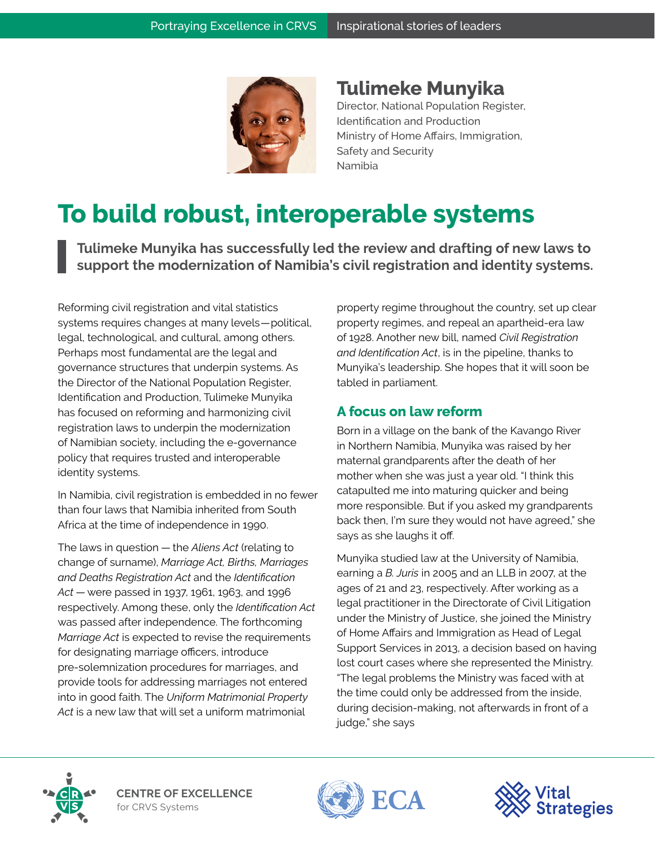

**Tulimeke Munyika**  Director, National Population Register, Identification and Production Ministry of Home Affairs, Immigration, Safety and Security Namibia

## **To build robust, interoperable systems**

**Tulimeke Munyika has successfully led the review and drafting of new laws to support the modernization of Namibia's civil registration and identity systems.** 

Reforming civil registration and vital statistics systems requires changes at many levels — political, legal, technological, and cultural, among others. Perhaps most fundamental are the legal and governance structures that underpin systems. As the Director of the National Population Register, Identification and Production, Tulimeke Munyika has focused on reforming and harmonizing civil registration laws to underpin the modernization of Namibian society, including the e-governance policy that requires trusted and interoperable identity systems.

In Namibia, civil registration is embedded in no fewer than four laws that Namibia inherited from South Africa at the time of independence in 1990.

The laws in question — the *Aliens Act* (relating to change of surname), *Marriage Act, Births, Marriages and Deaths Registration Act* and the *Identification Act* — were passed in 1937, 1961, 1963, and 1996 respectively. Among these, only the *Identification Act*  was passed after independence. The forthcoming *Marriage Act* is expected to revise the requirements for designating marriage officers, introduce pre-solemnization procedures for marriages, and provide tools for addressing marriages not entered into in good faith. The *Uniform Matrimonial Property*  Act is a new law that will set a uniform matrimonial

property regime throughout the country, set up clear property regimes, and repeal an apartheid-era law of 1928. Another new bill, named *Civil Registration and Identification Act*, is in the pipeline, thanks to Munyika's leadership. She hopes that it will soon be tabled in parliament.

## **A focus on law reform**

Born in a village on the bank of the Kavango River in Northern Namibia, Munyika was raised by her maternal grandparents after the death of her mother when she was just a year old. "I think this catapulted me into maturing quicker and being more responsible. But if you asked my grandparents back then, I'm sure they would not have agreed," she says as she laughs it off.

Munyika studied law at the University of Namibia, earning a *B. Juris* in 2005 and an LLB in 2007, at the ages of 21 and 23, respectively. After working as a legal practitioner in the Directorate of Civil Litigation under the Ministry of Justice, she joined the Ministry of Home Affairs and Immigration as Head of Legal Support Services in 2013, a decision based on having lost court cases where she represented the Ministry. "The legal problems the Ministry was faced with at the time could only be addressed from the inside, during decision-making, not afterwards in front of a judge," she says